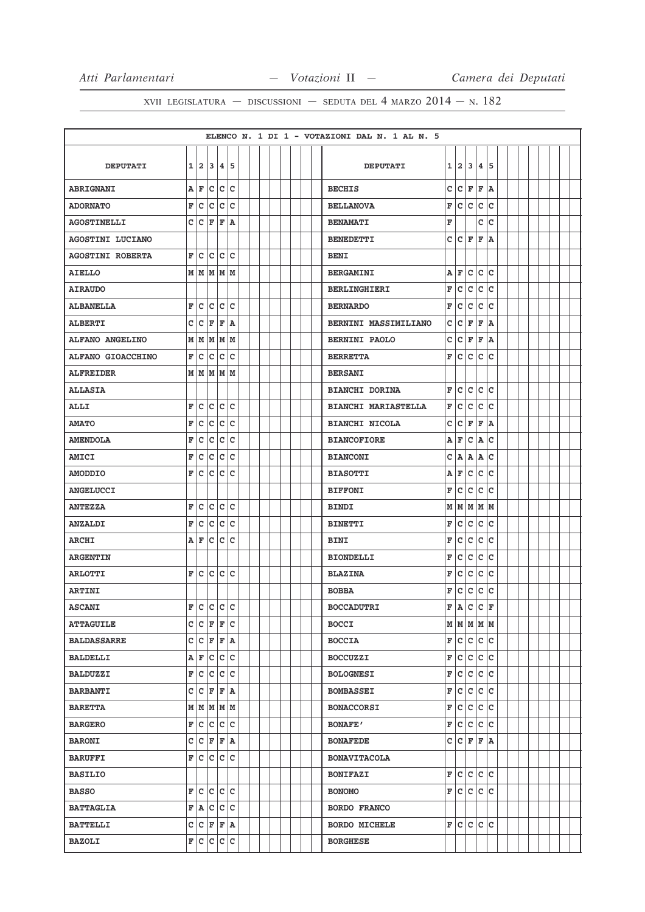|                         |   |    |                       |                |           |  |  |  |  | ELENCO N. 1 DI 1 - VOTAZIONI DAL N. 1 AL N. 5 |             |                             |              |              |              |  |  |  |  |
|-------------------------|---|----|-----------------------|----------------|-----------|--|--|--|--|-----------------------------------------------|-------------|-----------------------------|--------------|--------------|--------------|--|--|--|--|
|                         |   |    |                       |                |           |  |  |  |  |                                               |             |                             |              |              |              |  |  |  |  |
| <b>DEPUTATI</b>         |   |    | 1 2 3 4 5             |                |           |  |  |  |  | <b>DEPUTATI</b>                               |             | 1 2                         | 3            | 4            | 5            |  |  |  |  |
| <b>ABRIGNANI</b>        | A | ΙF | c                     |                | $ c\> c $ |  |  |  |  | <b>BECHIS</b>                                 | c           | lc.                         | F            | F            | ١A           |  |  |  |  |
| <b>ADORNATO</b>         | F | c  | c                     | $ \mathsf{c} $ | c         |  |  |  |  | <b>BELLANOVA</b>                              | F           | c                           | lc.          | lc.          | c            |  |  |  |  |
| <b>AGOSTINELLI</b>      | C | Iс | F                     | F              | ١A        |  |  |  |  | <b>BENAMATI</b>                               | F           |                             |              | c            | c            |  |  |  |  |
| AGOSTINI LUCIANO        |   |    |                       |                |           |  |  |  |  | <b>BENEDETTI</b>                              | c           | lc.                         | F            | F            | ١A           |  |  |  |  |
| <b>AGOSTINI ROBERTA</b> | F | c  | C                     | c              | c         |  |  |  |  | <b>BENI</b>                                   |             |                             |              |              |              |  |  |  |  |
| <b>AIELLO</b>           |   |    | M   M   M   M         |                |           |  |  |  |  | <b>BERGAMINI</b>                              | Α           | F                           | c            | c            | c            |  |  |  |  |
| <b>AIRAUDO</b>          |   |    |                       |                |           |  |  |  |  | <b>BERLINGHIERI</b>                           | $\mathbf F$ | c                           | c            | c            | lc           |  |  |  |  |
| <b>ALBANELLA</b>        | F | c  | c                     | c              | c         |  |  |  |  | <b>BERNARDO</b>                               | F           | c                           | c            | $\mathbf{C}$ | c            |  |  |  |  |
| <b>ALBERTI</b>          | c | c  | F                     | $\mathbf{F}$   | ۱A        |  |  |  |  | BERNINI MASSIMILIANO                          | c           | c                           | F            | F            | A            |  |  |  |  |
| <b>ALFANO ANGELINO</b>  | М | M  |                       | M  M  M        |           |  |  |  |  | <b>BERNINI PAOLO</b>                          | c           | с                           | F            | F            | A            |  |  |  |  |
| ALFANO GIOACCHINO       | F | c  | c                     |                | c c       |  |  |  |  | <b>BERRETTA</b>                               | F           | c                           | c            | lc.          | c            |  |  |  |  |
| <b>ALFREIDER</b>        |   | МИ |                       | MMM            |           |  |  |  |  | <b>BERSANI</b>                                |             |                             |              |              |              |  |  |  |  |
| <b>ALLASIA</b>          |   |    |                       |                |           |  |  |  |  | <b>BIANCHI DORINA</b>                         | F           | lc.                         | $\mathtt{C}$ | c            | lc           |  |  |  |  |
| <b>ALLI</b>             | F | c  | c                     | c c            |           |  |  |  |  | <b>BIANCHI MARIASTELLA</b>                    | F           | c                           | c            | c            | c            |  |  |  |  |
| <b>AMATO</b>            | F | c  | C                     | c              | c         |  |  |  |  | <b>BIANCHI NICOLA</b>                         | c           | c                           | F            | F            | A            |  |  |  |  |
| <b>AMENDOLA</b>         | F | c  | c                     |                | c c       |  |  |  |  | <b>BIANCOFIORE</b>                            | Α           | F                           | c            | Α            | c            |  |  |  |  |
| <b>AMICI</b>            | F | c  | c                     | c              | c         |  |  |  |  | <b>BIANCONI</b>                               | c           | Α                           | Α            | Α            | c            |  |  |  |  |
| <b>AMODDIO</b>          | F | с  | c                     | c              | c         |  |  |  |  | <b>BIASOTTI</b>                               | Α           | F                           | c            | lc.          | c            |  |  |  |  |
| <b>ANGELUCCI</b>        |   |    |                       |                |           |  |  |  |  | <b>BIFFONI</b>                                | F           | lc.                         | $\mathbf c$  | c            | C            |  |  |  |  |
| <b>ANTEZZA</b>          | F | c  | c                     | c              | c         |  |  |  |  | BINDI                                         |             | M M M                       |              | M            | lм           |  |  |  |  |
| <b>ANZALDI</b>          | F | c  | c                     | c c            |           |  |  |  |  | <b>BINETTI</b>                                | F           | c                           | c            | c            | c            |  |  |  |  |
| <b>ARCHI</b>            | A | F  | c                     | c              | c         |  |  |  |  | BINI                                          | F           | c                           | c            | c            | C            |  |  |  |  |
| <b>ARGENTIN</b>         |   |    |                       |                |           |  |  |  |  | <b>BIONDELLI</b>                              | F           | c                           | c            | c            | lc           |  |  |  |  |
| <b>ARLOTTI</b>          | F | с  | с                     | c              | c         |  |  |  |  | <b>BLAZINA</b>                                | F           | c                           | $\mathtt{C}$ | c            | c            |  |  |  |  |
| <b>ARTINI</b>           |   |    |                       |                |           |  |  |  |  | <b>BOBBA</b>                                  | F           | c                           | $\mathtt{C}$ | $\mathtt{C}$ | c            |  |  |  |  |
| <b>ASCANI</b>           |   |    | F C C C C             |                |           |  |  |  |  | <b>BOCCADUTRI</b>                             | F           | A                           | $\mathtt{C}$ | $\mathbf{C}$ | $\mathbf{F}$ |  |  |  |  |
| <b>ATTAGUILE</b>        |   |    | C C F F C             |                |           |  |  |  |  | <b>BOCCI</b>                                  |             | $M$   $M$   $M$   $M$   $M$ |              |              |              |  |  |  |  |
| <b>BALDASSARRE</b>      |   |    | C  C F F A            |                |           |  |  |  |  | <b>BOCCIA</b>                                 |             | F C C C C                   |              |              |              |  |  |  |  |
| BALDELLI                |   |    | A F C C C             |                |           |  |  |  |  | <b>BOCCUZZI</b>                               | F           | c c c c                     |              |              |              |  |  |  |  |
| <b>BALDUZZI</b>         |   |    | F C C C C             |                |           |  |  |  |  | <b>BOLOGNESI</b>                              | F           | c c c c                     |              |              |              |  |  |  |  |
| <b>BARBANTI</b>         | c | c  |                       | $F$ $F$ $A$    |           |  |  |  |  | <b>BOMBASSEI</b>                              | F           | lc.                         | c            |              | c c          |  |  |  |  |
| <b>BARETTA</b>          |   |    | $M$   $M$   $M$   $M$ |                |           |  |  |  |  | <b>BONACCORSI</b>                             | F           | c.                          | c            | c c          |              |  |  |  |  |
| <b>BARGERO</b>          |   |    | F C C C C             |                |           |  |  |  |  | <b>BONAFE'</b>                                | F           | c c c c                     |              |              |              |  |  |  |  |
| <b>BARONI</b>           |   |    | C C F F A             |                |           |  |  |  |  | <b>BONAFEDE</b>                               |             | C C F F A                   |              |              |              |  |  |  |  |
| <b>BARUFFI</b>          |   |    | F C C C C             |                |           |  |  |  |  | <b>BONAVITACOLA</b>                           |             |                             |              |              |              |  |  |  |  |
| <b>BASILIO</b>          |   |    |                       |                |           |  |  |  |  | <b>BONIFAZI</b>                               | F           | lc.                         |              | c c c        |              |  |  |  |  |
| <b>BASSO</b>            |   |    | F C C C C             |                |           |  |  |  |  | <b>BONOMO</b>                                 |             | F C C C C                   |              |              |              |  |  |  |  |
| <b>BATTAGLIA</b>        |   |    | F A C C C             |                |           |  |  |  |  | <b>BORDO FRANCO</b>                           |             |                             |              |              |              |  |  |  |  |
| <b>BATTELLI</b>         |   |    | C  C F F A            |                |           |  |  |  |  | <b>BORDO MICHELE</b>                          |             | F C                         | c            | c c          |              |  |  |  |  |
| <b>BAZOLI</b>           |   |    | F C C C C             |                |           |  |  |  |  | <b>BORGHESE</b>                               |             |                             |              |              |              |  |  |  |  |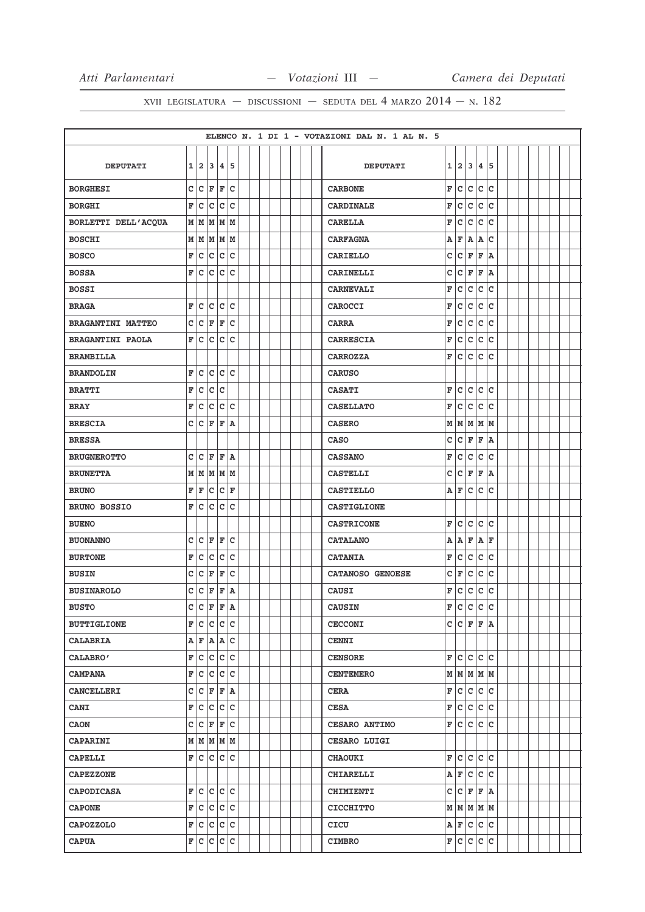|                          |              |                |                                         |         |     |  |  |  |  | ELENCO N. 1 DI 1 - VOTAZIONI DAL N. 1 AL N. 5 |             |             |     |              |                 |  |  |  |  |
|--------------------------|--------------|----------------|-----------------------------------------|---------|-----|--|--|--|--|-----------------------------------------------|-------------|-------------|-----|--------------|-----------------|--|--|--|--|
|                          |              |                |                                         |         |     |  |  |  |  |                                               |             |             |     |              |                 |  |  |  |  |
| <b>DEPUTATI</b>          | 1            | 2 <sup>1</sup> |                                         | 3 4     | 5   |  |  |  |  | <b>DEPUTATI</b>                               | 1           | 2           | 3   | 4            | 5               |  |  |  |  |
| <b>BORGHESI</b>          |              |                | C C F F C                               |         |     |  |  |  |  | <b>CARBONE</b>                                | $\mathbf F$ | c           | c   | c            | lc.             |  |  |  |  |
| <b>BORGHI</b>            | $\mathbf{F}$ | c              |                                         | c c c   |     |  |  |  |  | <b>CARDINALE</b>                              | F           | c           | c   | $\mathbf c$  | lc.             |  |  |  |  |
| BORLETTI DELL'ACQUA      |              |                | MMMMM                                   |         |     |  |  |  |  | <b>CARELLA</b>                                | F           | c           | c   | C            | c               |  |  |  |  |
| <b>BOSCHI</b>            |              |                | $M$ $M$ $M$ $M$                         |         |     |  |  |  |  | <b>CARFAGNA</b>                               | Α           | F           | A   | A            | c               |  |  |  |  |
| <b>BOSCO</b>             | F            | c              |                                         | c c     | lc. |  |  |  |  | <b>CARIELLO</b>                               | C           | c           | F   | F            | A               |  |  |  |  |
| <b>BOSSA</b>             | F            | lc.            | c.                                      | c c     |     |  |  |  |  | <b>CARINELLI</b>                              | с           | c           | F   | F            | ١A              |  |  |  |  |
| <b>BOSSI</b>             |              |                |                                         |         |     |  |  |  |  | <b>CARNEVALI</b>                              | F           | c           | c   | $\mathbf C$  | c               |  |  |  |  |
| <b>BRAGA</b>             | F            | c              |                                         | c c c   |     |  |  |  |  | CAROCCI                                       | F           | $\mathbf c$ | c   | c            | lc.             |  |  |  |  |
| <b>BRAGANTINI MATTEO</b> | c            |                | $ {\bf C}  {\bf F} $                    | F       | Ιc  |  |  |  |  | <b>CARRA</b>                                  | F           | c           | c   | c            | c               |  |  |  |  |
| <b>BRAGANTINI PAOLA</b>  | F            | c              |                                         | c c c   |     |  |  |  |  | <b>CARRESCIA</b>                              | F           | c           | c   | C            | c               |  |  |  |  |
| <b>BRAMBILLA</b>         |              |                |                                         |         |     |  |  |  |  | <b>CARROZZA</b>                               | F           | c           | c   | c            | lc.             |  |  |  |  |
| <b>BRANDOLIN</b>         | F            | c              | c                                       |         | c c |  |  |  |  | <b>CARUSO</b>                                 |             |             |     |              |                 |  |  |  |  |
| <b>BRATTI</b>            | F            | c              | $\overline{C}$                          | lc      |     |  |  |  |  | <b>CASATI</b>                                 | F           | lc.         | c   | c            | lc.             |  |  |  |  |
| <b>BRAY</b>              | F            | c              |                                         | c c c   |     |  |  |  |  | <b>CASELLATO</b>                              | F           | c           | c   | $\mathbf C$  | c               |  |  |  |  |
| <b>BRESCIA</b>           | c            | c              | F                                       | F       | A   |  |  |  |  | <b>CASERO</b>                                 | M           | M           | lм  | M            | M               |  |  |  |  |
| <b>BRESSA</b>            |              |                |                                         |         |     |  |  |  |  | <b>CASO</b>                                   | c           | c           | F   | F            | ١A              |  |  |  |  |
| <b>BRUGNEROTTO</b>       | c            | C              | F                                       | F       | A   |  |  |  |  | <b>CASSANO</b>                                | F           | c           | c   | $\mathbf c$  | c               |  |  |  |  |
| <b>BRUNETTA</b>          |              |                | $M$ $M$ $M$ $M$                         |         |     |  |  |  |  | <b>CASTELLI</b>                               | c           | lc.         | F   | F            | ١A.             |  |  |  |  |
| <b>BRUNO</b>             | F            | F              | c                                       | $ c $ F |     |  |  |  |  | <b>CASTIELLO</b>                              | A           | F           | c   | $\mathbf C$  | c               |  |  |  |  |
| <b>BRUNO BOSSIO</b>      | F            |                | c c c c                                 |         |     |  |  |  |  | CASTIGLIONE                                   |             |             |     |              |                 |  |  |  |  |
| <b>BUENO</b>             |              |                |                                         |         |     |  |  |  |  | <b>CASTRICONE</b>                             | F           | c           | c   | $\mathbf{C}$ | c               |  |  |  |  |
| <b>BUONANNO</b>          | c            | c              | F                                       | F       | lc. |  |  |  |  | <b>CATALANO</b>                               | A           | A           | F   | A            | F               |  |  |  |  |
| <b>BURTONE</b>           | F            | c              | c                                       | c       | Ιc  |  |  |  |  | <b>CATANIA</b>                                | F           | c           | c   | lc.          | lc.             |  |  |  |  |
| <b>BUSIN</b>             | C            | c              | F F                                     |         | c   |  |  |  |  | CATANOSO GENOESE                              | c           | F           | c   | $\mathtt{C}$ | c               |  |  |  |  |
| <b>BUSINAROLO</b>        | c            | c              | F                                       | F       | A   |  |  |  |  | <b>CAUSI</b>                                  | F           | c           | c   | c            | lc.             |  |  |  |  |
| <b>BUSTO</b>             | $\mathbf{C}$ |                | C F                                     | l F     | ١A  |  |  |  |  | <b>CAUSIN</b>                                 | F           | C           | lc. | c            | lc.             |  |  |  |  |
| <b>BUTTIGLIONE</b>       |              |                | F C C C C                               |         |     |  |  |  |  | <b>CECCONI</b>                                |             | c c         | F   | F            | ۱A.             |  |  |  |  |
| <b>CALABRIA</b>          |              |                | $A \rvert F \rvert A \rvert A \rvert C$ |         |     |  |  |  |  | <b>CENNI</b>                                  |             |             |     |              |                 |  |  |  |  |
| CALABRO'                 |              |                | F C C C C                               |         |     |  |  |  |  | <b>CENSORE</b>                                | F           | lc.         | lc. | lc.          | lc              |  |  |  |  |
| <b>CAMPANA</b>           |              |                | F C C C C                               |         |     |  |  |  |  | <b>CENTEMERO</b>                              |             |             |     |              | $M$ $M$ $M$ $M$ |  |  |  |  |
| <b>CANCELLERI</b>        |              |                | C  C F F A                              |         |     |  |  |  |  | <b>CERA</b>                                   | F           | c           |     |              | c c c           |  |  |  |  |
| <b>CANI</b>              |              |                | F C C C C                               |         |     |  |  |  |  | <b>CESA</b>                                   | F           | c           |     |              | c c c           |  |  |  |  |
| <b>CAON</b>              |              |                | C  C F F C                              |         |     |  |  |  |  | CESARO ANTIMO                                 | F           | c           | c   | c            | lc.             |  |  |  |  |
| <b>CAPARINI</b>          |              |                | M M M M M                               |         |     |  |  |  |  | <b>CESARO LUIGI</b>                           |             |             |     |              |                 |  |  |  |  |
| <b>CAPELLI</b>           |              |                | F C C C C                               |         |     |  |  |  |  | <b>CHAOUKI</b>                                | F           | lc.         | c   | lc.          | lc              |  |  |  |  |
| <b>CAPEZZONE</b>         |              |                |                                         |         |     |  |  |  |  | <b>CHIARELLI</b>                              |             | AF          | с   | lc.          | lc              |  |  |  |  |
| <b>CAPODICASA</b>        |              |                | F C C C C                               |         |     |  |  |  |  | <b>CHIMIENTI</b>                              | c           | C F         |     |              | F A             |  |  |  |  |
| <b>CAPONE</b>            |              |                | F C C C C                               |         |     |  |  |  |  | <b>CICCHITTO</b>                              |             |             |     |              | M   M   M   M   |  |  |  |  |
| <b>CAPOZZOLO</b>         |              |                | F C C C C                               |         |     |  |  |  |  | CICU                                          |             | A F C C C   |     |              |                 |  |  |  |  |
| <b>CAPUA</b>             |              |                | F C C C C                               |         |     |  |  |  |  | <b>CIMBRO</b>                                 |             | F C C C C   |     |              |                 |  |  |  |  |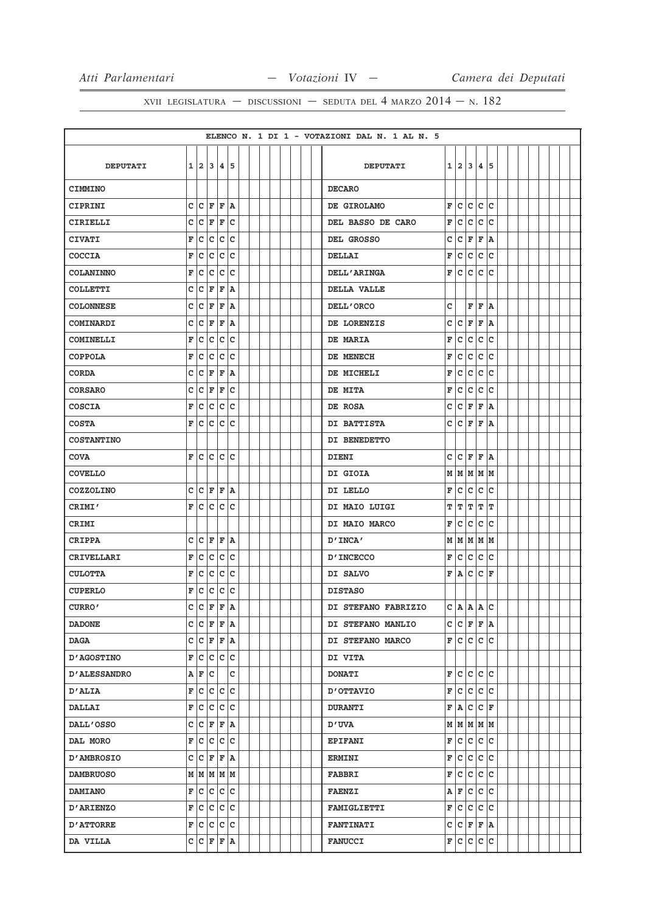|                     |              |                         |                        |       |    |  |  |  |  | ELENCO N. 1 DI 1 - VOTAZIONI DAL N. 1 AL N. 5 |   |                     |       |              |     |  |  |  |  |
|---------------------|--------------|-------------------------|------------------------|-------|----|--|--|--|--|-----------------------------------------------|---|---------------------|-------|--------------|-----|--|--|--|--|
|                     |              |                         |                        |       |    |  |  |  |  |                                               |   |                     |       |              |     |  |  |  |  |
| <b>DEPUTATI</b>     |              |                         | 1 2 3 4 5              |       |    |  |  |  |  | <b>DEPUTATI</b>                               |   | 1 2 3 4 5           |       |              |     |  |  |  |  |
| <b>CIMMINO</b>      |              |                         |                        |       |    |  |  |  |  | <b>DECARO</b>                                 |   |                     |       |              |     |  |  |  |  |
| CIPRINI             | c            |                         | $ C $ $\mathbf{F}$     | lF.   | ١A |  |  |  |  | DE GIROLAMO                                   | F | lc.                 | lc.   | lc.          | lc  |  |  |  |  |
| CIRIELLI            | c            | c                       | F                      | F     | c  |  |  |  |  | DEL BASSO DE CARO                             | F | c                   | Iс    | $\mathbf c$  | ١c  |  |  |  |  |
| <b>CIVATI</b>       | F            | c                       | c                      | c c   |    |  |  |  |  | DEL GROSSO                                    | c | lc.                 | F     | F            | ١A  |  |  |  |  |
| <b>COCCIA</b>       | F            | c                       | с                      | c     | c  |  |  |  |  | <b>DELLAI</b>                                 | F | c                   | c     | c            | lc  |  |  |  |  |
| <b>COLANINNO</b>    | F            | $\overline{C}$          | c                      | c     | c  |  |  |  |  | <b>DELL'ARINGA</b>                            | F | lc.                 | c     | c            | lc  |  |  |  |  |
| <b>COLLETTI</b>     | с            |                         | $ {\tt C}\> {\tt F}\>$ | F     | ۱A |  |  |  |  | DELLA VALLE                                   |   |                     |       |              |     |  |  |  |  |
| <b>COLONNESE</b>    | $\mathtt{C}$ | c                       | F                      | İF    | ١A |  |  |  |  | DELL'ORCO                                     | C |                     | F     | lF.          | ١A  |  |  |  |  |
| COMINARDI           | с            |                         | $ c $ F                | F     | ۱A |  |  |  |  | DE LORENZIS                                   | c | lc.                 | F     | F            | ١A  |  |  |  |  |
| <b>COMINELLI</b>    | F            | c                       | c                      | c     | c  |  |  |  |  | DE MARIA                                      | F | c                   | Iс    | c            | ١c  |  |  |  |  |
| <b>COPPOLA</b>      | F            | lc.                     | ∣c                     | c     | c  |  |  |  |  | DE MENECH                                     | F | lc.                 | c     | c            | Ιc  |  |  |  |  |
| <b>CORDA</b>        | C            | с                       | F                      | F     | A  |  |  |  |  | DE MICHELI                                    | F | c                   | c     | $\mathtt{C}$ | lc  |  |  |  |  |
| <b>CORSARO</b>      | c            | $\overline{\mathsf{c}}$ | F                      | F     | c  |  |  |  |  | DE MITA                                       | F | lc.                 | c     | c            | lc  |  |  |  |  |
| <b>COSCIA</b>       | F            | c                       |                        | c c c |    |  |  |  |  | DE ROSA                                       | с | lc.                 | F     | F            | ΙA  |  |  |  |  |
| <b>COSTA</b>        | F            | $\overline{c}$          | c                      | c c   |    |  |  |  |  | DI BATTISTA                                   | c | lc.                 | l F   | F            | ١A  |  |  |  |  |
| <b>COSTANTINO</b>   |              |                         |                        |       |    |  |  |  |  | DI BENEDETTO                                  |   |                     |       |              |     |  |  |  |  |
| <b>COVA</b>         | F            | C                       | c                      | lc.   | c  |  |  |  |  | DIENI                                         | c | Iс                  | F     | F            | ١A  |  |  |  |  |
| <b>COVELLO</b>      |              |                         |                        |       |    |  |  |  |  | DI GIOIA                                      |   | M   M   M   M       |       |              |     |  |  |  |  |
| <b>COZZOLINO</b>    | c            |                         | $ {\bf C}  {\bf F} $   | F     | A  |  |  |  |  | DI LELLO                                      | F | lc.                 | c     | c            | lc  |  |  |  |  |
| CRIMI'              | F            |                         | c c                    | c     | c  |  |  |  |  | DI MAIO LUIGI                                 | т | ΙT                  | T     | ΙT           | ΙT  |  |  |  |  |
| CRIMI               |              |                         |                        |       |    |  |  |  |  | DI MAIO MARCO                                 | F | Iс                  | c     | c            | Ιc  |  |  |  |  |
| <b>CRIPPA</b>       | c            |                         | $ {\tt C} \;  $ F      | F     | ١A |  |  |  |  | D'INCA'                                       |   | $M$ $M$ $M$ $M$ $M$ |       |              |     |  |  |  |  |
| CRIVELLARI          | F            |                         | c c                    | c c   |    |  |  |  |  | <b>D'INCECCO</b>                              | F | c c                 |       | c c          |     |  |  |  |  |
| <b>CULOTTA</b>      | F            | c                       | с                      | c     | с  |  |  |  |  | DI SALVO                                      | F | A                   | c     | c            | l F |  |  |  |  |
| <b>CUPERLO</b>      | F            | c                       | c                      | c     | c  |  |  |  |  | <b>DISTASO</b>                                |   |                     |       |              |     |  |  |  |  |
| CURRO'              | c            | $\overline{c}$          | F                      | F     | ١A |  |  |  |  | DI STEFANO FABRIZIO                           |   | C A A               |       | A            | lc  |  |  |  |  |
| <b>DADONE</b>       |              |                         | C C F F A              |       |    |  |  |  |  | DI STEFANO MANLIO                             |   | C C F F A           |       |              |     |  |  |  |  |
| <b>DAGA</b>         |              |                         | C  C F F A             |       |    |  |  |  |  | DI STEFANO MARCO                              |   | F C C C C           |       |              |     |  |  |  |  |
| <b>D'AGOSTINO</b>   | F            |                         | c c c c                |       |    |  |  |  |  | <b>DI VITA</b>                                |   |                     |       |              |     |  |  |  |  |
| <b>D'ALESSANDRO</b> |              |                         | $A$ $F$ $C$            |       | c  |  |  |  |  | <b>DONATI</b>                                 |   | F C C C C           |       |              |     |  |  |  |  |
| <b>D'ALIA</b>       | F            |                         | c c c c                |       |    |  |  |  |  | <b>D'OTTAVIO</b>                              | F | lc.                 | c c c |              |     |  |  |  |  |
| <b>DALLAI</b>       | F            |                         | c c c c                |       |    |  |  |  |  | <b>DURANTI</b>                                | F | A C C F             |       |              |     |  |  |  |  |
| <b>DALL'OSSO</b>    |              |                         | C  C F F A             |       |    |  |  |  |  | <b>D'UVA</b>                                  |   | $M$ $M$ $M$ $M$     |       |              |     |  |  |  |  |
| DAL MORO            |              |                         | F C C C C              |       |    |  |  |  |  | <b>EPIFANI</b>                                |   | F C C C C           |       |              |     |  |  |  |  |
| <b>D'AMBROSIO</b>   |              |                         | C  C F F A             |       |    |  |  |  |  | <b>ERMINI</b>                                 | F | c c c c             |       |              |     |  |  |  |  |
| <b>DAMBRUOSO</b>    |              |                         | $M$ $ M$ $M$ $M$ $M$   |       |    |  |  |  |  | <b>FABBRI</b>                                 | F | c c c c             |       |              |     |  |  |  |  |
| <b>DAMIANO</b>      |              |                         | F C C C C              |       |    |  |  |  |  | <b>FAENZI</b>                                 |   | A F C C C           |       |              |     |  |  |  |  |
| <b>D'ARIENZO</b>    | F            |                         | c c c c                |       |    |  |  |  |  | <b>FAMIGLIETTI</b>                            | F | c                   | c c c |              |     |  |  |  |  |
| <b>D'ATTORRE</b>    |              |                         | F C C C C              |       |    |  |  |  |  | <b>FANTINATI</b>                              | с | C F F A             |       |              |     |  |  |  |  |
| DA VILLA            |              |                         | C  C F F A             |       |    |  |  |  |  | <b>FANUCCI</b>                                |   | F C C C C           |       |              |     |  |  |  |  |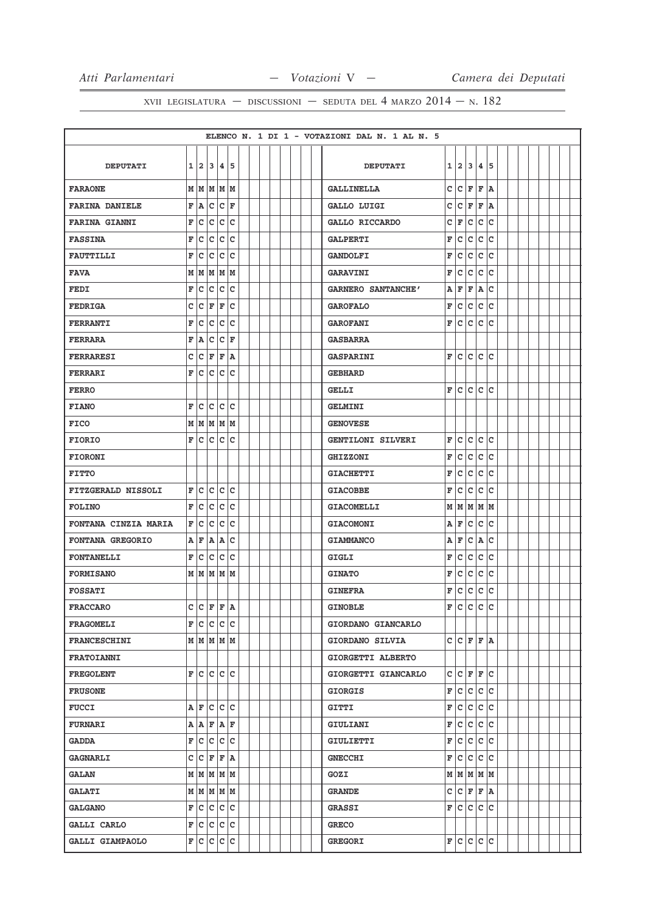|                           |   |   |                       |       |                        |  |  |  |  | ELENCO N. 1 DI 1 - VOTAZIONI DAL N. 1 AL N. 5 |   |                   |             |              |     |  |  |  |  |
|---------------------------|---|---|-----------------------|-------|------------------------|--|--|--|--|-----------------------------------------------|---|-------------------|-------------|--------------|-----|--|--|--|--|
|                           |   |   |                       |       |                        |  |  |  |  |                                               |   |                   |             |              |     |  |  |  |  |
| <b>DEPUTATI</b>           |   |   | $1 \mid 2 \mid 3$     | 14. I | 5                      |  |  |  |  | <b>DEPUTATI</b>                               | 1 | 12.               | 3           | 4            | 5   |  |  |  |  |
| <b>FARAONE</b>            | М |   | MMMM                  |       |                        |  |  |  |  | <b>GALLINELLA</b>                             | c | lc.               | F           | F            | ١A  |  |  |  |  |
| <b>FARINA DANIELE</b>     | F | A | c                     |       | $ {\boldsymbol{c}} $ F |  |  |  |  | GALLO LUIGI                                   | c | c                 | F           | F            | ١A  |  |  |  |  |
| <b>FARINA GIANNI</b>      | F | c | c                     | c     | C                      |  |  |  |  | GALLO RICCARDO                                | c | l F               | c           | $\mathbf{C}$ | c   |  |  |  |  |
| <b>FASSINA</b>            | F | c | c                     |       | c c                    |  |  |  |  | <b>GALPERTI</b>                               | F | c                 | c           | c            | lc  |  |  |  |  |
| <b>FAUTTILLI</b>          | F | с | C                     | c     | C                      |  |  |  |  | <b>GANDOLFI</b>                               | F | c                 | c           | c            | C   |  |  |  |  |
| <b>FAVA</b>               | М |   | MM                    |       | MM                     |  |  |  |  | <b>GARAVINI</b>                               | F | c                 | c           | c            | c   |  |  |  |  |
| <b>FEDI</b>               | F | с | C                     | c     | c                      |  |  |  |  | GARNERO SANTANCHE'                            | Α | F                 | F           | A            | c   |  |  |  |  |
| <b>FEDRIGA</b>            | c | c | F                     | F     | C                      |  |  |  |  | <b>GAROFALO</b>                               | F | c                 | c           | $\mathbf{C}$ | lc  |  |  |  |  |
| <b>FERRANTI</b>           | F | c | c                     | c     | c                      |  |  |  |  | <b>GAROFANI</b>                               | F | c                 | c           | c            | c   |  |  |  |  |
| <b>FERRARA</b>            | F | A | c                     | c     | F                      |  |  |  |  | <b>GASBARRA</b>                               |   |                   |             |              |     |  |  |  |  |
| <b>FERRARESI</b>          | с | c | F                     |       | F A                    |  |  |  |  | <b>GASPARINI</b>                              | F |                   | c c         |              | c c |  |  |  |  |
| FERRARI                   | F | c | с                     | c     | c                      |  |  |  |  | <b>GEBHARD</b>                                |   |                   |             |              |     |  |  |  |  |
| <b>FERRO</b>              |   |   |                       |       |                        |  |  |  |  | <b>GELLI</b>                                  | F | lc.               | c.          | lc.          | lc. |  |  |  |  |
| <b>FIANO</b>              | F | c | c                     | c     | c                      |  |  |  |  | <b>GELMINI</b>                                |   |                   |             |              |     |  |  |  |  |
| <b>FICO</b>               | М | M |                       |       | MMM                    |  |  |  |  | <b>GENOVESE</b>                               |   |                   |             |              |     |  |  |  |  |
| <b>FIORIO</b>             | F |   | c c                   |       | c c                    |  |  |  |  | GENTILONI SILVERI                             | F | c                 | c           | c            | c   |  |  |  |  |
| <b>FIORONI</b>            |   |   |                       |       |                        |  |  |  |  | <b>GHIZZONI</b>                               | F | c                 | c           | $\mathbf c$  | c   |  |  |  |  |
| <b>FITTO</b>              |   |   |                       |       |                        |  |  |  |  | <b>GIACHETTI</b>                              | F | c                 | c           | c            | lc  |  |  |  |  |
| <b>FITZGERALD NISSOLI</b> | F | c | c                     | c     | c                      |  |  |  |  | <b>GIACOBBE</b>                               | F | c                 | c           | c            | C   |  |  |  |  |
| <b>FOLINO</b>             | F | c | C                     | c     | C                      |  |  |  |  | <b>GIACOMELLI</b>                             |   | МM                | M           | $\mathbf M$  | lм  |  |  |  |  |
| FONTANA CINZIA MARIA      | F | C | c                     | c     | C                      |  |  |  |  | <b>GIACOMONI</b>                              | Α | F                 | c           | $\mathbf c$  | c   |  |  |  |  |
| FONTANA GREGORIO          | Α | F | Α                     | A     | C                      |  |  |  |  | <b>GIAMMANCO</b>                              | Α | F                 | $\mathbf c$ | Α            | C   |  |  |  |  |
| <b>FONTANELLI</b>         | F | с | c                     | c     | c                      |  |  |  |  | GIGLI                                         | F | c                 | c           | c            | c   |  |  |  |  |
| <b>FORMISANO</b>          |   |   | MMMMM                 |       |                        |  |  |  |  | <b>GINATO</b>                                 | F | c                 | c           | c            | c   |  |  |  |  |
| <b>FOSSATI</b>            |   |   |                       |       |                        |  |  |  |  | <b>GINEFRA</b>                                | F | c                 | c           | c            | c   |  |  |  |  |
| <b>FRACCARO</b>           | c |   | $ C $ $F F A$         |       |                        |  |  |  |  | <b>GINOBLE</b>                                | F | c                 | c           | c            | c   |  |  |  |  |
| <b>FRAGOMELI</b>          |   |   | F C C C C             |       |                        |  |  |  |  | GIORDANO GIANCARLO                            |   |                   |             |              |     |  |  |  |  |
| <b>FRANCESCHINI</b>       |   |   | $M$ $M$ $M$ $M$       |       |                        |  |  |  |  | GIORDANO SILVIA                               |   | C C F F A         |             |              |     |  |  |  |  |
| <b>FRATOIANNI</b>         |   |   |                       |       |                        |  |  |  |  | GIORGETTI ALBERTO                             |   |                   |             |              |     |  |  |  |  |
| <b>FREGOLENT</b>          |   |   | F C C C C             |       |                        |  |  |  |  | GIORGETTI GIANCARLO                           |   | C C F F C         |             |              |     |  |  |  |  |
| <b>FRUSONE</b>            |   |   |                       |       |                        |  |  |  |  | <b>GIORGIS</b>                                | F | c.                | c.          |              | c c |  |  |  |  |
| <b>FUCCI</b>              |   |   | A F C C C             |       |                        |  |  |  |  | <b>GITTI</b>                                  | F | c.                | c           |              | c c |  |  |  |  |
| <b>FURNARI</b>            |   |   | A   A   F   A   F     |       |                        |  |  |  |  | GIULIANI                                      | F | c                 | c           |              | c c |  |  |  |  |
| <b>GADDA</b>              | F |   | c c c c               |       |                        |  |  |  |  | GIULIETTI                                     | F | c.                | c           |              | c c |  |  |  |  |
| <b>GAGNARLI</b>           |   |   | C  C F F A            |       |                        |  |  |  |  | <b>GNECCHI</b>                                | F | lc.               | lc.         |              | c c |  |  |  |  |
| <b>GALAN</b>              |   |   | $M$ $M$ $M$ $M$ $M$   |       |                        |  |  |  |  | GOZI                                          |   | M   M   M   M   M |             |              |     |  |  |  |  |
| <b>GALATI</b>             |   |   | $M$   $M$   $M$   $M$ |       |                        |  |  |  |  | <b>GRANDE</b>                                 |   | C C F F A         |             |              |     |  |  |  |  |
| <b>GALGANO</b>            |   |   | F C C C C             |       |                        |  |  |  |  | <b>GRASSI</b>                                 | F | lc.               | lc.         |              | c c |  |  |  |  |
|                           |   |   | F C C C C             |       |                        |  |  |  |  | <b>GRECO</b>                                  |   |                   |             |              |     |  |  |  |  |
| <b>GALLI CARLO</b>        |   |   |                       |       |                        |  |  |  |  |                                               |   |                   |             |              |     |  |  |  |  |
| GALLI GIAMPAOLO           |   |   | F C C C C             |       |                        |  |  |  |  | <b>GREGORI</b>                                |   | F C C C C         |             |              |     |  |  |  |  |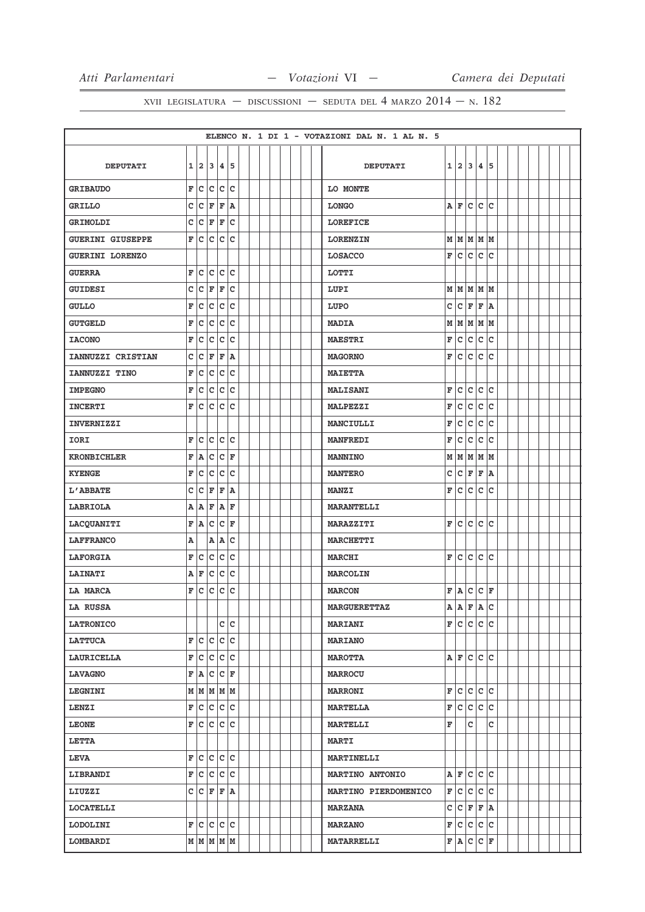|                         |   |                |         |                   |     |  |  |  |  | ELENCO N. 1 DI 1 - VOTAZIONI DAL N. 1 AL N. 5 |                         |                           |     |                    |     |  |  |  |  |
|-------------------------|---|----------------|---------|-------------------|-----|--|--|--|--|-----------------------------------------------|-------------------------|---------------------------|-----|--------------------|-----|--|--|--|--|
|                         |   |                |         |                   |     |  |  |  |  |                                               |                         |                           |     |                    |     |  |  |  |  |
| <b>DEPUTATI</b>         | 1 |                |         | 2 3 4 5           |     |  |  |  |  | <b>DEPUTATI</b>                               |                         | 1 2                       | 3   | 4                  | 5   |  |  |  |  |
| <b>GRIBAUDO</b>         |   |                |         | F C C C C         |     |  |  |  |  | LO MONTE                                      |                         |                           |     |                    |     |  |  |  |  |
| <b>GRILLO</b>           |   |                |         | C C F F A         |     |  |  |  |  | <b>LONGO</b>                                  |                         | AF                        | lc. | lc.                | lc  |  |  |  |  |
| <b>GRIMOLDI</b>         |   |                | C C F F |                   | lc. |  |  |  |  | <b>LOREFICE</b>                               |                         |                           |     |                    |     |  |  |  |  |
| <b>GUERINI GIUSEPPE</b> |   |                |         | F C C C C         |     |  |  |  |  | <b>LORENZIN</b>                               |                         | м м м м м                 |     |                    |     |  |  |  |  |
| <b>GUERINI LORENZO</b>  |   |                |         |                   |     |  |  |  |  | <b>LOSACCO</b>                                | $\mathbf F$             | lc.                       | c   | c                  | lc. |  |  |  |  |
| <b>GUERRA</b>           | F | c              | c       |                   | c c |  |  |  |  | LOTTI                                         |                         |                           |     |                    |     |  |  |  |  |
| <b>GUIDESI</b>          |   | $c c _F$       |         | F                 | c   |  |  |  |  | LUPI                                          |                         | $M$ $M$ $M$ $M$ $M$       |     |                    |     |  |  |  |  |
| <b>GULLO</b>            | F |                |         | c c c c           |     |  |  |  |  | LUPO                                          | C                       | c                         | F   | F                  | ۱A  |  |  |  |  |
| <b>GUTGELD</b>          | F | c              | c.      |                   | c c |  |  |  |  | <b>MADIA</b>                                  | М                       | M                         |     | MMM                |     |  |  |  |  |
| <b>IACONO</b>           | F | $\overline{c}$ |         | c c c             |     |  |  |  |  | <b>MAESTRI</b>                                | F                       | lc.                       | lc. | c                  | lc. |  |  |  |  |
| IANNUZZI CRISTIAN       | c |                |         | C F F A           |     |  |  |  |  | <b>MAGORNO</b>                                | F                       | lc.                       | c   | lc.                | lc. |  |  |  |  |
| IANNUZZI TINO           | F | C              |         | c c               | lc  |  |  |  |  | <b>MAIETTA</b>                                |                         |                           |     |                    |     |  |  |  |  |
| <b>IMPEGNO</b>          | F |                |         | c c c c           |     |  |  |  |  | <b>MALISANI</b>                               | F                       | c                         | c   | c                  | lc. |  |  |  |  |
| <b>INCERTI</b>          |   |                |         | F C C C C         |     |  |  |  |  | <b>MALPEZZI</b>                               | F                       | c                         | c   | $\mathbf c$        | c   |  |  |  |  |
| <b>INVERNIZZI</b>       |   |                |         |                   |     |  |  |  |  | <b>MANCIULLI</b>                              | F                       | lc.                       | c   | $\mathbf c$        | lc. |  |  |  |  |
| IORI                    | F | c              |         | c c c             |     |  |  |  |  | <b>MANFREDI</b>                               | F                       | c                         | c   | $\mathbf c$        | lc. |  |  |  |  |
| <b>KRONBICHLER</b>      | F | A.             |         | $ c c _F$         |     |  |  |  |  | <b>MANNINO</b>                                |                         | MM                        | M   | MM                 |     |  |  |  |  |
| <b>KYENGE</b>           | F |                |         | c c c c           |     |  |  |  |  | <b>MANTERO</b>                                | c                       | c                         | F   | F                  | A   |  |  |  |  |
| L'ABBATE                | c | $\mathtt{C}$   | F       | F                 | A   |  |  |  |  | <b>MANZI</b>                                  | F                       | c                         | c   | $\mathbf c$        | lc. |  |  |  |  |
| LABRIOLA                |   |                |         | A   A   F   A   F |     |  |  |  |  | <b>MARANTELLI</b>                             |                         |                           |     |                    |     |  |  |  |  |
| LACQUANITI              |   |                |         | F A C C F         |     |  |  |  |  | <b>MARAZZITI</b>                              | F                       | c                         | c   | c                  | lc. |  |  |  |  |
| <b>LAFFRANCO</b>        | Α |                |         | A A C             |     |  |  |  |  | <b>MARCHETTI</b>                              |                         |                           |     |                    |     |  |  |  |  |
| <b>LAFORGIA</b>         |   | F C            |         | c c c             |     |  |  |  |  | <b>MARCHI</b>                                 | F                       | lc.                       | c   | c                  | lc. |  |  |  |  |
| <b>LAINATI</b>          |   | AF             |         | c c c             |     |  |  |  |  | <b>MARCOLIN</b>                               |                         |                           |     |                    |     |  |  |  |  |
| <b>LA MARCA</b>         |   | F C            |         | c c c             |     |  |  |  |  | <b>MARCON</b>                                 | F                       | ۱A.                       | c   | $ c _{\mathbf{F}}$ |     |  |  |  |  |
| LA RUSSA                |   |                |         |                   |     |  |  |  |  | <b>MARGUERETTAZ</b>                           | $\overline{\mathbf{A}}$ | $\boldsymbol{\mathtt{A}}$ | F   | A                  | c   |  |  |  |  |
| <b>LATRONICO</b>        |   |                |         |                   | c c |  |  |  |  | <b>MARIANI</b>                                |                         | F C C C C                 |     |                    |     |  |  |  |  |
| <b>LATTUCA</b>          |   |                |         | F C C C C         |     |  |  |  |  | <b>MARIANO</b>                                |                         |                           |     |                    |     |  |  |  |  |
| <b>LAURICELLA</b>       |   |                |         | F C C C C         |     |  |  |  |  | <b>MAROTTA</b>                                |                         | AF                        | lc. | lc.                | lc  |  |  |  |  |
| <b>LAVAGNO</b>          |   |                |         | F A C C F         |     |  |  |  |  | <b>MARROCU</b>                                |                         |                           |     |                    |     |  |  |  |  |
| <b>LEGNINI</b>          |   |                |         | M   M   M   M     |     |  |  |  |  | <b>MARRONI</b>                                | F                       | c                         | lc. | lc.                | lc  |  |  |  |  |
| <b>LENZI</b>            |   |                |         | F C C C C         |     |  |  |  |  | <b>MARTELLA</b>                               | F                       | c                         | c   | lc.                | lc. |  |  |  |  |
| <b>LEONE</b>            |   |                |         | F C C C C         |     |  |  |  |  | <b>MARTELLI</b>                               | F                       |                           | c   |                    | c   |  |  |  |  |
| <b>LETTA</b>            |   |                |         |                   |     |  |  |  |  | <b>MARTI</b>                                  |                         |                           |     |                    |     |  |  |  |  |
| <b>LEVA</b>             |   |                |         | F C C C C         |     |  |  |  |  | <b>MARTINELLI</b>                             |                         |                           |     |                    |     |  |  |  |  |
| <b>LIBRANDI</b>         |   |                |         | F C C C C         |     |  |  |  |  | <b>MARTINO ANTONIO</b>                        |                         | A F                       | lc. | lc.                | lc. |  |  |  |  |
| LIUZZI                  |   |                |         | C C F F A         |     |  |  |  |  | MARTINO PIERDOMENICO                          | F                       | c c c c                   |     |                    |     |  |  |  |  |
| <b>LOCATELLI</b>        |   |                |         |                   |     |  |  |  |  | <b>MARZANA</b>                                | c                       | lc.                       | F   | F                  | ١A  |  |  |  |  |
| LODOLINI                |   |                |         | F C C C C         |     |  |  |  |  | <b>MARZANO</b>                                | F                       | c                         | c   | c c                |     |  |  |  |  |
| LOMBARDI                |   |                |         | M M M M M         |     |  |  |  |  | <b>MATARRELLI</b>                             |                         | F A C C F                 |     |                    |     |  |  |  |  |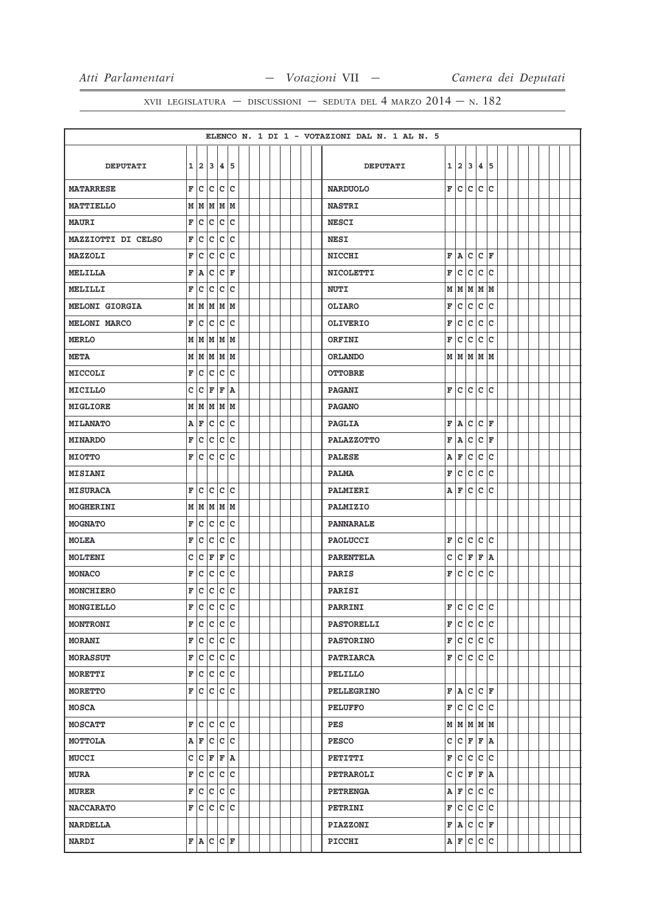|                       |             |                         |           |       |                        |  |  |  |  | ELENCO N. 1 DI 1 - VOTAZIONI DAL N. 1 AL N. 5 |             |               |     |             |               |  |  |  |  |
|-----------------------|-------------|-------------------------|-----------|-------|------------------------|--|--|--|--|-----------------------------------------------|-------------|---------------|-----|-------------|---------------|--|--|--|--|
|                       |             |                         |           |       |                        |  |  |  |  |                                               |             |               |     |             |               |  |  |  |  |
| <b>DEPUTATI</b>       |             |                         | 1 2 3     | 4 5   |                        |  |  |  |  | <b>DEPUTATI</b>                               | 1           | 2             | 3   | 4           | 5             |  |  |  |  |
| <b>MATARRESE</b>      | F           | $\overline{\mathsf{c}}$ | c         | c     | c                      |  |  |  |  | <b>NARDUOLO</b>                               | $\mathbf F$ | c             | c   | c           | lc            |  |  |  |  |
| <b>MATTIELLO</b>      | $\mathbf M$ | M                       | M         | MM    |                        |  |  |  |  | <b>NASTRI</b>                                 |             |               |     |             |               |  |  |  |  |
| <b>MAURI</b>          | F           | $\bar{\mathbf{c}}$      | c         | c     | c                      |  |  |  |  | <b>NESCI</b>                                  |             |               |     |             |               |  |  |  |  |
| MAZZIOTTI DI CELSO    | F           | c                       | c         |       | c c                    |  |  |  |  | <b>NESI</b>                                   |             |               |     |             |               |  |  |  |  |
| MAZZOLI               | F           | c                       | c         | c     | C                      |  |  |  |  | <b>NICCHI</b>                                 | F           | A             | c   | lc.         | l F           |  |  |  |  |
| MELILLA               | F           | A                       | c         | c     | F                      |  |  |  |  | <b>NICOLETTI</b>                              | F           | lc.           | Iс  | lc.         | lc            |  |  |  |  |
| MELILLI               | F           | c                       | c         | c     | c                      |  |  |  |  | <b>NUTI</b>                                   | M           | M             | M   |             | MM            |  |  |  |  |
| <b>MELONI GIORGIA</b> | М           | M                       | M         | MM    |                        |  |  |  |  | <b>OLIARO</b>                                 | F           | c             | c   | c           | lc            |  |  |  |  |
| <b>MELONI MARCO</b>   | F           | c                       | C         | c     | C                      |  |  |  |  | <b>OLIVERIO</b>                               | F           | c             | lc. | $\mathbf c$ | lc            |  |  |  |  |
| <b>MERLO</b>          | М           | lм                      | lм        | lм    | Iм                     |  |  |  |  | ORFINI                                        | F           | lc.           | Iс  | c           | ١c            |  |  |  |  |
| <b>META</b>           | М           |                         | M M M M   |       |                        |  |  |  |  | <b>ORLANDO</b>                                |             | M   M   M   M |     |             |               |  |  |  |  |
| MICCOLI               | F           | c                       | c         | c     | c                      |  |  |  |  | <b>OTTOBRE</b>                                |             |               |     |             |               |  |  |  |  |
| MICILLO               | c           | c                       | F         | F     | ۱A                     |  |  |  |  | <b>PAGANI</b>                                 | F           | lc.           |     | c c c       |               |  |  |  |  |
| MIGLIORE              | М           | M                       | M         | M     | M                      |  |  |  |  | <b>PAGANO</b>                                 |             |               |     |             |               |  |  |  |  |
| <b>MILANATO</b>       | Α           | F                       | c         |       | c c                    |  |  |  |  | <b>PAGLIA</b>                                 | F           | A             | lc. | lc.         | ١F            |  |  |  |  |
| <b>MINARDO</b>        | F           | c                       | c         | c     | c                      |  |  |  |  | <b>PALAZZOTTO</b>                             | F           | A             | c   | lc.         | F             |  |  |  |  |
| <b>MIOTTO</b>         | F           | Iс                      | c         | c     | c                      |  |  |  |  | <b>PALESE</b>                                 | A           | F             | Iс  | c           | ١c            |  |  |  |  |
| <b>MISIANI</b>        |             |                         |           |       |                        |  |  |  |  | <b>PALMA</b>                                  | F           | c             | c   | c           | lc            |  |  |  |  |
| <b>MISURACA</b>       | F           | c                       | c         | c     | C                      |  |  |  |  | PALMIERI                                      | Α           | F             | c   | c           | ١c            |  |  |  |  |
| <b>MOGHERINI</b>      | М           |                         | M M M M   |       |                        |  |  |  |  | PALMIZIO                                      |             |               |     |             |               |  |  |  |  |
| <b>MOGNATO</b>        | F           | с                       | C         | c     | C                      |  |  |  |  | PANNARALE                                     |             |               |     |             |               |  |  |  |  |
| <b>MOLEA</b>          | F           | c                       | C         | c     | C                      |  |  |  |  | <b>PAOLUCCI</b>                               | F           | lc.           | c   | c           | lc            |  |  |  |  |
| MOLTENI               | C           | с                       | F         | F     | c                      |  |  |  |  | <b>PARENTELA</b>                              | c           | lc.           | F   | F           | ١A            |  |  |  |  |
| <b>MONACO</b>         | F           | c                       | c         | c     | c                      |  |  |  |  | <b>PARIS</b>                                  | F           | lc.           | lc. | c           | ١c            |  |  |  |  |
| MONCHIERO             | F           | c                       | c         |       | c c                    |  |  |  |  | PARISI                                        |             |               |     |             |               |  |  |  |  |
| MONGIELLO             | F           | $\bar{\mathbf{c}}$      | lc.       | lc.   | c                      |  |  |  |  | PARRINI                                       | F           | c c           |     | c           | lc            |  |  |  |  |
| <b>MONTRONI</b>       | F           |                         | c c c c   |       |                        |  |  |  |  | <b>PASTORELLI</b>                             | F           | c             | c   | c c         |               |  |  |  |  |
| <b>MORANI</b>         | F           | c                       | c         | c     | c                      |  |  |  |  | <b>PASTORINO</b>                              | F           | c             | c   | c           | c             |  |  |  |  |
| <b>MORASSUT</b>       | F           | $\overline{\mathsf{c}}$ | c         | c     | c                      |  |  |  |  | <b>PATRIARCA</b>                              | F           | c             | c   | c           | lc.           |  |  |  |  |
| <b>MORETTI</b>        | F           |                         | c c c c   |       |                        |  |  |  |  | PELILLO                                       |             |               |     |             |               |  |  |  |  |
| <b>MORETTO</b>        | F           | lc.                     | c         | c     | c                      |  |  |  |  | <b>PELLEGRINO</b>                             | F           | A             | c   |             | $ {\tt C} $ F |  |  |  |  |
| <b>MOSCA</b>          |             |                         |           |       |                        |  |  |  |  | <b>PELUFFO</b>                                | F           | c c c c       |     |             |               |  |  |  |  |
| <b>MOSCATT</b>        | F           | c                       | c         | c     | c                      |  |  |  |  | PES                                           |             | M   M   M   M |     |             |               |  |  |  |  |
| МОТТОLА               |             | A F                     |           | c c c |                        |  |  |  |  | <b>PESCO</b>                                  | c           | C F F A       |     |             |               |  |  |  |  |
| <b>MUCCI</b>          | c           | c                       | F         | F     | A                      |  |  |  |  | PETITTI                                       | F           | c             | c   | c           | c             |  |  |  |  |
| <b>MURA</b>           | F           | $\overline{\mathsf{c}}$ | c         |       | $ {\rm c}\, {\rm c}\,$ |  |  |  |  | <b>PETRAROLI</b>                              | c           | c             | F   | F           | ١A            |  |  |  |  |
| <b>MURER</b>          | F           |                         | c c c c   |       |                        |  |  |  |  | <b>PETRENGA</b>                               |             | A F           | c   | c           | c             |  |  |  |  |
| <b>NACCARATO</b>      | F           | c                       | C         | c     | c                      |  |  |  |  | <b>PETRINI</b>                                | F           | c             | c   | c           | lc            |  |  |  |  |
| <b>NARDELLA</b>       |             |                         |           |       |                        |  |  |  |  | <b>PIAZZONI</b>                               | F           | A             |     | $ c c _F$   |               |  |  |  |  |
| <b>NARDI</b>          |             |                         | F A C C F |       |                        |  |  |  |  | PICCHI                                        |             | A F           | c   | c           | c             |  |  |  |  |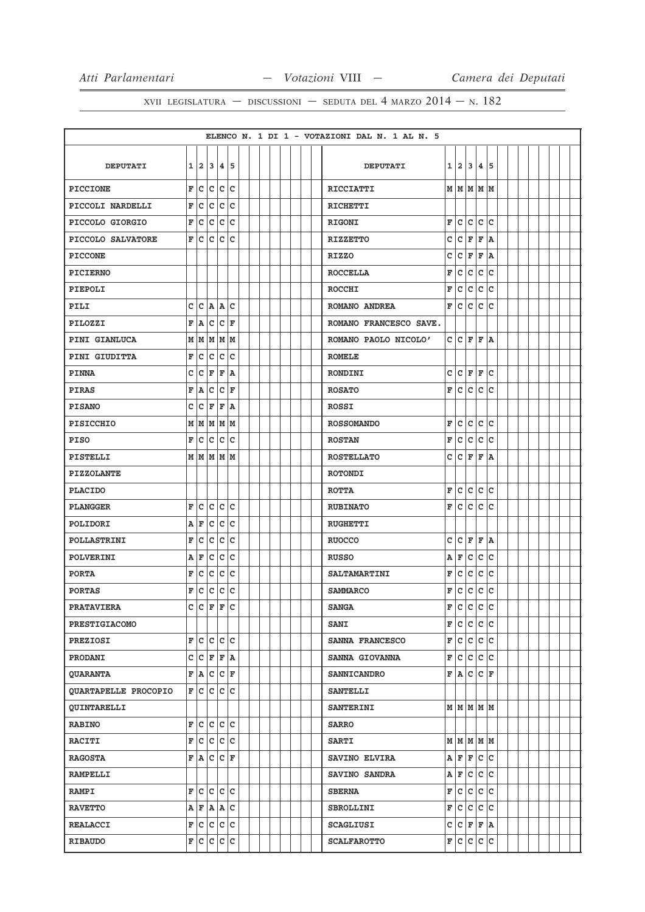|                      |   |                |           |                        |             |  |  |  |  | ELENCO N. 1 DI 1 - VOTAZIONI DAL N. 1 AL N. 5 |   |                 |       |                |    |  |  |  |
|----------------------|---|----------------|-----------|------------------------|-------------|--|--|--|--|-----------------------------------------------|---|-----------------|-------|----------------|----|--|--|--|
|                      |   |                |           |                        |             |  |  |  |  |                                               |   |                 |       |                |    |  |  |  |
| <b>DEPUTATI</b>      |   |                | 1 2 3 4 5 |                        |             |  |  |  |  | <b>DEPUTATI</b>                               |   | 1 2 3           |       | $\overline{4}$ | 15 |  |  |  |
| <b>PICCIONE</b>      | F | c              | lc.       | c                      | lc          |  |  |  |  | <b>RICCIATTI</b>                              |   | MMMMMM          |       |                |    |  |  |  |
| PICCOLI NARDELLI     | F | c              | c         | c c                    |             |  |  |  |  | <b>RICHETTI</b>                               |   |                 |       |                |    |  |  |  |
| PICCOLO GIORGIO      | F | c              | c         | c                      | C           |  |  |  |  | <b>RIGONI</b>                                 | F | c               | c     | c              | lc |  |  |  |
| PICCOLO SALVATORE    | F | lc.            | c         |                        | c c         |  |  |  |  | <b>RIZZETTO</b>                               | c | lc.             | F     | F              | ١A |  |  |  |
| <b>PICCONE</b>       |   |                |           |                        |             |  |  |  |  | <b>RIZZO</b>                                  | C | c               | F     | F              | ١A |  |  |  |
| <b>PICIERNO</b>      |   |                |           |                        |             |  |  |  |  | <b>ROCCELLA</b>                               | F | c               | c     | $\mathbf{C}$   | lc |  |  |  |
| <b>PIEPOLI</b>       |   |                |           |                        |             |  |  |  |  | <b>ROCCHI</b>                                 | F | lc.             | c     | c              | lc |  |  |  |
| PILI                 | c | с              |           | A A                    | lc          |  |  |  |  | ROMANO ANDREA                                 | F | lc.             | lc.   | $\mathbf c$    | ١c |  |  |  |
| PILOZZI              | F | A              | c         | $ c $ F                |             |  |  |  |  | ROMANO FRANCESCO SAVE.                        |   |                 |       |                |    |  |  |  |
| PINI GIANLUCA        | М | M              | M         | M                      | lм          |  |  |  |  | ROMANO PAOLO NICOLO'                          | c | lc.             | F     | F              | ١A |  |  |  |
| PINI GIUDITTA        | F | c              | c         | c                      | c           |  |  |  |  | <b>ROMELE</b>                                 |   |                 |       |                |    |  |  |  |
| <b>PINNA</b>         | c | C              | F         | Ē                      | A           |  |  |  |  | <b>RONDINI</b>                                | C | c               | F     | F              | c  |  |  |  |
| <b>PIRAS</b>         | F | A              | C         | c                      | ΙF          |  |  |  |  | <b>ROSATO</b>                                 | F | lc.             | lc.   | c              | lc |  |  |  |
| <b>PISANO</b>        | с | c              | F         | F                      | A           |  |  |  |  | ROSSI                                         |   |                 |       |                |    |  |  |  |
| <b>PISICCHIO</b>     | М | M              | lм        | lм                     | M           |  |  |  |  | <b>ROSSOMANDO</b>                             | F | lc.             | c     | $\mathbf c$    | c  |  |  |  |
| <b>PISO</b>          | F | c              | c         | $\bar{\mathbf{c}}$     | c           |  |  |  |  | <b>ROSTAN</b>                                 | F | lc.             | c     | c              | lc |  |  |  |
| PISTELLI             |   | м∣м            |           | MM                     | Iм          |  |  |  |  | <b>ROSTELLATO</b>                             | C | c               | F     | F              | ١A |  |  |  |
| <b>PIZZOLANTE</b>    |   |                |           |                        |             |  |  |  |  | <b>ROTONDI</b>                                |   |                 |       |                |    |  |  |  |
| <b>PLACIDO</b>       |   |                |           |                        |             |  |  |  |  | <b>ROTTA</b>                                  | F | lc.             | c     | c              | lc |  |  |  |
| <b>PLANGGER</b>      | F | c              | c         | $ {\rm c}\, {\rm c}\,$ |             |  |  |  |  | <b>RUBINATO</b>                               | F | lc.             | lc.   | c              | lc |  |  |  |
| POLIDORI             | Α | F              | c         | c c                    |             |  |  |  |  | <b>RUGHETTI</b>                               |   |                 |       |                |    |  |  |  |
| POLLASTRINI          | F | c              | c         | c                      | c           |  |  |  |  | <b>RUOCCO</b>                                 | C | c               | F     | F              | ١A |  |  |  |
| <b>POLVERINI</b>     | Α | F              | c         | c                      | c           |  |  |  |  | <b>RUSSO</b>                                  | Α | F               | c     | c              | lc |  |  |  |
| <b>PORTA</b>         | F | c              | с         | c                      | c           |  |  |  |  | <b>SALTAMARTINI</b>                           | F | c               | c     | c              | Ιc |  |  |  |
| <b>PORTAS</b>        | F | c              | C         | c                      | c           |  |  |  |  | <b>SAMMARCO</b>                               | F | c               | c     | c              | lc |  |  |  |
| <b>PRATAVIERA</b>    | c | $\overline{c}$ | F         | F                      | $\mathbf C$ |  |  |  |  | <b>SANGA</b>                                  | F | c               | c     | $\mathbf c$    | lc |  |  |  |
| <b>PRESTIGIACOMO</b> |   |                |           |                        |             |  |  |  |  | <b>SANI</b>                                   | F | lc.             | c c c |                |    |  |  |  |
| <b>PREZIOSI</b>      | F |                | c c c c   |                        |             |  |  |  |  | SANNA FRANCESCO                               | F | c               | c c c |                |    |  |  |  |
| PRODANI              | c |                | C F F A   |                        |             |  |  |  |  | SANNA GIOVANNA                                | F | c               | c     | c c            |    |  |  |  |
| <b>QUARANTA</b>      |   |                | F A C C F |                        |             |  |  |  |  | <b>SANNICANDRO</b>                            |   | F A C C F       |       |                |    |  |  |  |
| QUARTAPELLE PROCOPIO | F | lc.            | c         | c c                    |             |  |  |  |  | <b>SANTELLI</b>                               |   |                 |       |                |    |  |  |  |
| <b>QUINTARELLI</b>   |   |                |           |                        |             |  |  |  |  | <b>SANTERINI</b>                              |   | $M$ $M$ $M$ $M$ |       |                |    |  |  |  |
| <b>RABINO</b>        | F |                | c c c c   |                        |             |  |  |  |  | <b>SARRO</b>                                  |   |                 |       |                |    |  |  |  |
| <b>RACITI</b>        | F |                | c c c c   |                        |             |  |  |  |  | <b>SARTI</b>                                  |   | м м м м м       |       |                |    |  |  |  |
| <b>RAGOSTA</b>       |   |                | F A C C F |                        |             |  |  |  |  | SAVINO ELVIRA                                 |   | A F F C C       |       |                |    |  |  |  |
| <b>RAMPELLI</b>      |   |                |           |                        |             |  |  |  |  | SAVINO SANDRA                                 |   | A F             | c c c |                |    |  |  |  |
| <b>RAMPI</b>         |   |                | F C C C C |                        |             |  |  |  |  | <b>SBERNA</b>                                 | F | c c c c         |       |                |    |  |  |  |
| <b>RAVETTO</b>       |   | A F            | A A C     |                        |             |  |  |  |  | <b>SBROLLINI</b>                              | F | c               | c     | c c            |    |  |  |  |
| <b>REALACCI</b>      |   |                | F C C C C |                        |             |  |  |  |  | <b>SCAGLIUSI</b>                              | c | C F F A         |       |                |    |  |  |  |
| <b>RIBAUDO</b>       |   |                | F C C C C |                        |             |  |  |  |  | <b>SCALFAROTTO</b>                            | F | c c c c         |       |                |    |  |  |  |